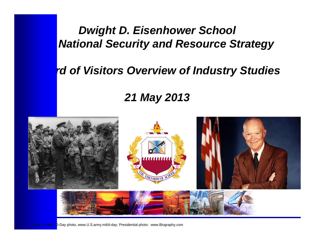## *Dwight D. Eisenhower School* **National Security and Resource Strategy**

### rd of Visitors Overview of Industry Studies

## *21 May 2013*



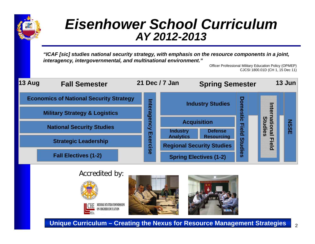

## *Eisenhower School CurriculumAY 2012-2013*

*"ICAF [sic] studies national security strategy, with emphasis on the resource components in a joint, interagency, intergovernmental, and multinational environment."*

Officer Professional Military Education Policy (OPMEP) CJCSI 1800.01D (CH 1, 15 Dec 11)











**Unique Curriculum – Creating the Nexus for Resource Management Strategies**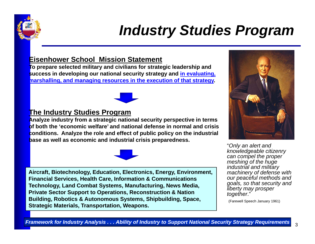

## *Industry Studies Program*

#### **Eisenhower School Mission Statement**

**To prepare selected military and civilians for strategic leadership and success in developing our national security strategy and in evaluating, marshalling, and managing resources in the execution of that strategy.** 



### **The Industry Studies Program**

**Analyze industry from a strategic national security perspective in terms of both the 'economic welfare' and national defense in normal and crisis conditions. Analyze the role and effect of public policy on the industrial base as well as economic and industrial crisis preparedness.**



**Aircraft, Biotechnology, Education, Electronics, Energy, Environment, Financial Services, Health Care, Information & Communications Technology, Land Combat Systems, Manufacturing, News Media, Private Sector Support to Operations, Reconstruction & Nation Building, Robotics & Autonomous Systems, Shipbuilding, Space, Strategic Materials, Transportation, Weapons.**



"*Only an alert and knowledgeable citizenry can compel the proper meshing of the huge industrial and military machinery of defense with our peaceful methods and goals, so that security and liberty may prosper together*."

(Farewell Speech January 1961)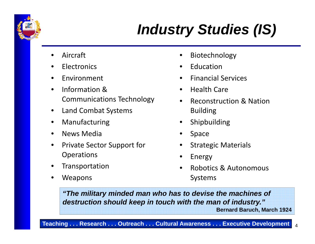

# *Industry Studies (IS)*

- •Aircraft
- •**Electronics**
- •Environment
- •**•** Information & Communications Technology
- •Land Combat Systems
- •Manufacturing
- •• News Media
- •• Private Sector Support for Operations
- •Transportation
- •Weapons
- •Biotechnology
- •Education
- •Financial Services
- •• Health Care
- $\bullet$ **•** Reconstruction & Nation Building
- •Shipbuilding
- •Space
- $\bullet$ Strategic Materials
- •Energy
- • Robotics & Autonomous Systems

*"The military minded man who has to devise the machines of destruction should keep in touch with the man of industry."* **Bernard Baruch, March 1924**

**Teaching . . . Research . . . Outreach . . . Cultural Awareness . . . Executive Development** <sup>4</sup>